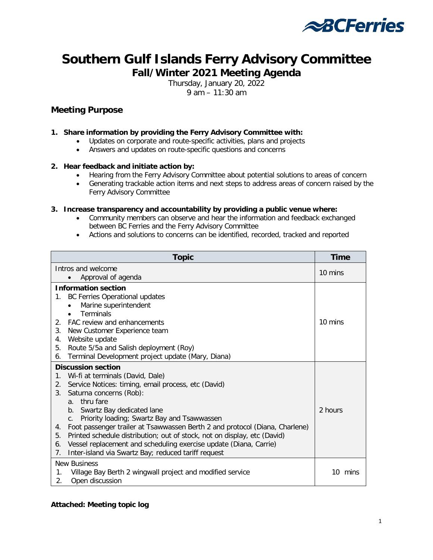

## **Southern Gulf Islands Ferry Advisory Committee Fall/Winter 2021 Meeting Agenda**

Thursday, January 20, 2022 9 am – 11:30 am

## **Meeting Purpose**

- **1. Share information by providing the Ferry Advisory Committee with:**
	- Updates on corporate and route-specific activities, plans and projects
	- Answers and updates on route-specific questions and concerns

#### **2. Hear feedback and initiate action by:**

- Hearing from the Ferry Advisory Committee about potential solutions to areas of concern
- Generating trackable action items and next steps to address areas of concern raised by the Ferry Advisory Committee

#### **3. Increase transparency and accountability by providing a public venue where:**

- Community members can observe and hear the information and feedback exchanged between BC Ferries and the Ferry Advisory Committee
- Actions and solutions to concerns can be identified, recorded, tracked and reported

| <b>Topic</b>                                                                      | <b>Time</b> |
|-----------------------------------------------------------------------------------|-------------|
| Intros and welcome                                                                | 10 mins     |
| Approval of agenda<br>$\bullet$                                                   |             |
| <b>Information section</b>                                                        |             |
| 1. BC Ferries Operational updates                                                 |             |
| Marine superintendent                                                             |             |
| <b>Terminals</b>                                                                  |             |
| <b>FAC review and enhancements</b><br>$2_{1}$                                     | 10 mins     |
| 3.<br>New Customer Experience team                                                |             |
| Website update<br>4.                                                              |             |
| 5.<br>Route 5/5a and Salish deployment (Roy)                                      |             |
| Terminal Development project update (Mary, Diana)<br>6.                           |             |
| <b>Discussion section</b>                                                         |             |
| Wi-fi at terminals (David, Dale)<br>$1_{\cdot}$                                   |             |
| Service Notices: timing, email process, etc (David)<br>2.                         |             |
| Saturna concerns (Rob):<br>3.                                                     |             |
| a. thru fare                                                                      |             |
| b. Swartz Bay dedicated lane                                                      | 2 hours     |
| c. Priority loading; Swartz Bay and Tsawwassen                                    |             |
| Foot passenger trailer at Tsawwassen Berth 2 and protocol (Diana, Charlene)<br>4. |             |
| Printed schedule distribution; out of stock, not on display, etc (David)<br>5.    |             |
| Vessel replacement and scheduling exercise update (Diana, Carrie)<br>6.           |             |
| Inter-island via Swartz Bay; reduced tariff request<br>7 <sub>1</sub>             |             |
| <b>New Business</b>                                                               |             |
| Village Bay Berth 2 wingwall project and modified service<br>$\mathbf{1}$ .       | 10 mins     |
| 2.<br>Open discussion                                                             |             |

**Attached: Meeting topic log**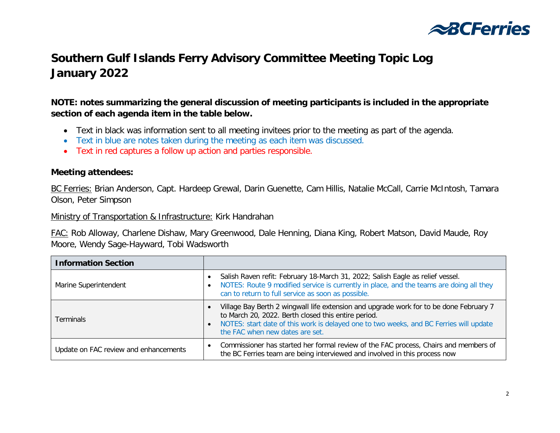

# **Southern Gulf Islands Ferry Advisory Committee Meeting Topic Log January 2022**

## **NOTE: notes summarizing the general discussion of meeting participants is included in the appropriate section of each agenda item in the table below.**

- Text in black was information sent to all meeting invitees prior to the meeting as part of the agenda.
- Text in blue are notes taken during the meeting as each item was discussed.
- Text in red captures a follow up action and parties responsible.

## **Meeting attendees:**

BC Ferries: Brian Anderson, Capt. Hardeep Grewal, Darin Guenette, Cam Hillis, Natalie McCall, Carrie McIntosh, Tamara Olson, Peter Simpson

Ministry of Transportation & Infrastructure: Kirk Handrahan

FAC: Rob Alloway, Charlene Dishaw, Mary Greenwood, Dale Henning, Diana King, Robert Matson, David Maude, Roy Moore, Wendy Sage-Hayward, Tobi Wadsworth

| <b>Information Section</b>            |                                                                                                                                                                                                                                                                            |
|---------------------------------------|----------------------------------------------------------------------------------------------------------------------------------------------------------------------------------------------------------------------------------------------------------------------------|
| Marine Superintendent                 | Salish Raven refit: February 18-March 31, 2022; Salish Eagle as relief vessel.<br>NOTES: Route 9 modified service is currently in place, and the teams are doing all they<br>can to return to full service as soon as possible.                                            |
| <b>Terminals</b>                      | Village Bay Berth 2 wingwall life extension and upgrade work for to be done February 7<br>to March 20, 2022. Berth closed this entire period.<br>NOTES: start date of this work is delayed one to two weeks, and BC Ferries will update<br>the FAC when new dates are set. |
| Update on FAC review and enhancements | Commissioner has started her formal review of the FAC process, Chairs and members of<br>the BC Ferries team are being interviewed and involved in this process now                                                                                                         |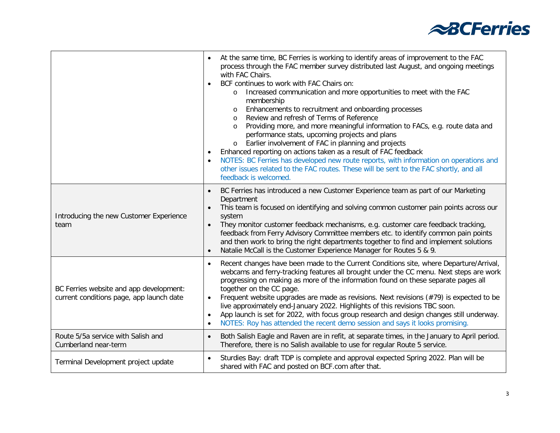

|                                                                                     | At the same time, BC Ferries is working to identify areas of improvement to the FAC<br>process through the FAC member survey distributed last August, and ongoing meetings<br>with FAC Chairs.<br>BCF continues to work with FAC Chairs on:<br>$\bullet$<br>Increased communication and more opportunities to meet with the FAC<br>$\circ$<br>membership<br>Enhancements to recruitment and onboarding processes<br>Review and refresh of Terms of Reference<br>$\circ$<br>Providing more, and more meaningful information to FACs, e.g. route data and<br>$\circ$<br>performance stats, upcoming projects and plans<br>Earlier involvement of FAC in planning and projects<br>$\circ$<br>Enhanced reporting on actions taken as a result of FAC feedback<br>NOTES: BC Ferries has developed new route reports, with information on operations and<br>$\bullet$<br>other issues related to the FAC routes. These will be sent to the FAC shortly, and all<br>feedback is welcomed. |
|-------------------------------------------------------------------------------------|------------------------------------------------------------------------------------------------------------------------------------------------------------------------------------------------------------------------------------------------------------------------------------------------------------------------------------------------------------------------------------------------------------------------------------------------------------------------------------------------------------------------------------------------------------------------------------------------------------------------------------------------------------------------------------------------------------------------------------------------------------------------------------------------------------------------------------------------------------------------------------------------------------------------------------------------------------------------------------|
| Introducing the new Customer Experience<br>team                                     | BC Ferries has introduced a new Customer Experience team as part of our Marketing<br>$\bullet$<br>Department<br>This team is focused on identifying and solving common customer pain points across our<br>system<br>They monitor customer feedback mechanisms, e.g. customer care feedback tracking,<br>$\bullet$<br>feedback from Ferry Advisory Committee members etc. to identify common pain points<br>and then work to bring the right departments together to find and implement solutions<br>Natalie McCall is the Customer Experience Manager for Routes 5 & 9.                                                                                                                                                                                                                                                                                                                                                                                                            |
| BC Ferries website and app development:<br>current conditions page, app launch date | Recent changes have been made to the Current Conditions site, where Departure/Arrival,<br>$\bullet$<br>webcams and ferry-tracking features all brought under the CC menu. Next steps are work<br>progressing on making as more of the information found on these separate pages all<br>together on the CC page.<br>Frequent website upgrades are made as revisions. Next revisions (#79) is expected to be<br>$\bullet$<br>live approximately end-January 2022. Highlights of this revisions TBC soon.<br>App launch is set for 2022, with focus group research and design changes still underway.<br>$\bullet$<br>NOTES: Roy has attended the recent demo session and says it looks promising.<br>$\bullet$                                                                                                                                                                                                                                                                       |
| Route 5/5a service with Salish and<br>Cumberland near-term                          | Both Salish Eagle and Raven are in refit, at separate times, in the January to April period.<br>$\bullet$<br>Therefore, there is no Salish available to use for regular Route 5 service.                                                                                                                                                                                                                                                                                                                                                                                                                                                                                                                                                                                                                                                                                                                                                                                           |
| Terminal Development project update                                                 | Sturdies Bay: draft TDP is complete and approval expected Spring 2022. Plan will be<br>$\bullet$<br>shared with FAC and posted on BCF.com after that.                                                                                                                                                                                                                                                                                                                                                                                                                                                                                                                                                                                                                                                                                                                                                                                                                              |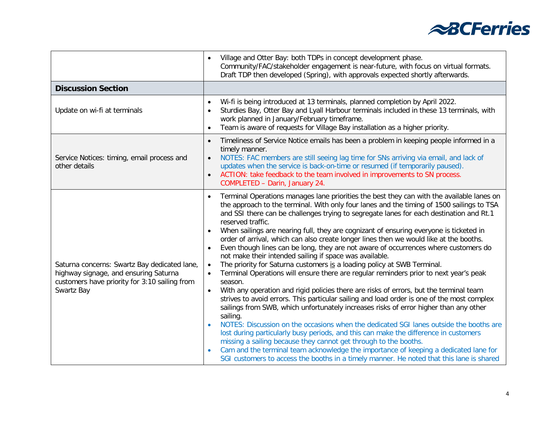

|                                                                                                                                                      | Village and Otter Bay: both TDPs in concept development phase.<br>Community/FAC/stakeholder engagement is near-future, with focus on virtual formats.<br>Draft TDP then developed (Spring), with approvals expected shortly afterwards.                                                                                                                                                                                                                                                                                                                                                                                                                                                                                                                                                                                                                                                                                                                                                                                                                                                                                                                                                                                                                                                                                                                                                                                                                                                                                                                                                                   |
|------------------------------------------------------------------------------------------------------------------------------------------------------|-----------------------------------------------------------------------------------------------------------------------------------------------------------------------------------------------------------------------------------------------------------------------------------------------------------------------------------------------------------------------------------------------------------------------------------------------------------------------------------------------------------------------------------------------------------------------------------------------------------------------------------------------------------------------------------------------------------------------------------------------------------------------------------------------------------------------------------------------------------------------------------------------------------------------------------------------------------------------------------------------------------------------------------------------------------------------------------------------------------------------------------------------------------------------------------------------------------------------------------------------------------------------------------------------------------------------------------------------------------------------------------------------------------------------------------------------------------------------------------------------------------------------------------------------------------------------------------------------------------|
| <b>Discussion Section</b>                                                                                                                            |                                                                                                                                                                                                                                                                                                                                                                                                                                                                                                                                                                                                                                                                                                                                                                                                                                                                                                                                                                                                                                                                                                                                                                                                                                                                                                                                                                                                                                                                                                                                                                                                           |
| Update on wi-fi at terminals                                                                                                                         | Wi-fi is being introduced at 13 terminals, planned completion by April 2022.<br>Sturdies Bay, Otter Bay and Lyall Harbour terminals included in these 13 terminals, with<br>work planned in January/February timeframe.<br>Team is aware of requests for Village Bay installation as a higher priority.                                                                                                                                                                                                                                                                                                                                                                                                                                                                                                                                                                                                                                                                                                                                                                                                                                                                                                                                                                                                                                                                                                                                                                                                                                                                                                   |
| Service Notices: timing, email process and<br>other details                                                                                          | Timeliness of Service Notice emails has been a problem in keeping people informed in a<br>$\bullet$<br>timely manner.<br>NOTES: FAC members are still seeing lag time for SNs arriving via email, and lack of<br>$\bullet$<br>updates when the service is back-on-time or resumed (if temporarily paused).<br>ACTION: take feedback to the team involved in improvements to SN process.<br>COMPLETED - Darin, January 24.                                                                                                                                                                                                                                                                                                                                                                                                                                                                                                                                                                                                                                                                                                                                                                                                                                                                                                                                                                                                                                                                                                                                                                                 |
| Saturna concerns: Swartz Bay dedicated lane,<br>highway signage, and ensuring Saturna<br>customers have priority for 3:10 sailing from<br>Swartz Bay | Terminal Operations manages lane priorities the best they can with the available lanes on<br>the approach to the terminal. With only four lanes and the timing of 1500 sailings to TSA<br>and SSI there can be challenges trying to segregate lanes for each destination and Rt.1<br>reserved traffic.<br>When sailings are nearing full, they are cognizant of ensuring everyone is ticketed in<br>order of arrival, which can also create longer lines then we would like at the booths.<br>Even though lines can be long, they are not aware of occurrences where customers do<br>not make their intended sailing if space was available.<br>The priority for Saturna customers is a loading policy at SWB Terminal.<br>$\bullet$<br>Terminal Operations will ensure there are regular reminders prior to next year's peak<br>$\bullet$<br>season.<br>With any operation and rigid policies there are risks of errors, but the terminal team<br>$\bullet$<br>strives to avoid errors. This particular sailing and load order is one of the most complex<br>sailings from SWB, which unfortunately increases risks of error higher than any other<br>sailing.<br>NOTES: Discussion on the occasions when the dedicated SGI lanes outside the booths are<br>lost during particularly busy periods, and this can make the difference in customers<br>missing a sailing because they cannot get through to the booths.<br>Cam and the terminal team acknowledge the importance of keeping a dedicated lane for<br>SGI customers to access the booths in a timely manner. He noted that this lane is shared |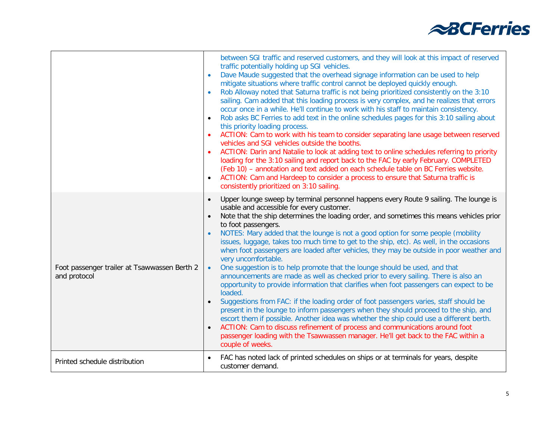

|                                                              | between SGI traffic and reserved customers, and they will look at this impact of reserved<br>traffic potentially holding up SGI vehicles.<br>Dave Maude suggested that the overhead signage information can be used to help<br>mitigate situations where traffic control cannot be deployed quickly enough.<br>Rob Alloway noted that Saturna traffic is not being prioritized consistently on the 3:10<br>sailing. Cam added that this loading process is very complex, and he realizes that errors<br>occur once in a while. He'll continue to work with his staff to maintain consistency.<br>Rob asks BC Ferries to add text in the online schedules pages for this 3:10 sailing about<br>this priority loading process.<br>ACTION: Cam to work with his team to consider separating lane usage between reserved<br>vehicles and SGI vehicles outside the booths.<br>ACTION: Darin and Natalie to look at adding text to online schedules referring to priority<br>loading for the 3:10 sailing and report back to the FAC by early February. COMPLETED<br>(Feb 10) – annotation and text added on each schedule table on BC Ferries website.<br>ACTION: Cam and Hardeep to consider a process to ensure that Saturna traffic is<br>consistently prioritized on 3:10 sailing.                                                            |
|--------------------------------------------------------------|----------------------------------------------------------------------------------------------------------------------------------------------------------------------------------------------------------------------------------------------------------------------------------------------------------------------------------------------------------------------------------------------------------------------------------------------------------------------------------------------------------------------------------------------------------------------------------------------------------------------------------------------------------------------------------------------------------------------------------------------------------------------------------------------------------------------------------------------------------------------------------------------------------------------------------------------------------------------------------------------------------------------------------------------------------------------------------------------------------------------------------------------------------------------------------------------------------------------------------------------------------------------------------------------------------------------------------------------|
| Foot passenger trailer at Tsawwassen Berth 2<br>and protocol | Upper lounge sweep by terminal personnel happens every Route 9 sailing. The lounge is<br>$\bullet$<br>usable and accessible for every customer.<br>Note that the ship determines the loading order, and sometimes this means vehicles prior<br>$\bullet$<br>to foot passengers.<br>NOTES: Mary added that the lounge is not a good option for some people (mobility<br>issues, luggage, takes too much time to get to the ship, etc). As well, in the occasions<br>when foot passengers are loaded after vehicles, they may be outside in poor weather and<br>very uncomfortable.<br>One suggestion is to help promote that the lounge should be used, and that<br>$\bullet$<br>announcements are made as well as checked prior to every sailing. There is also an<br>opportunity to provide information that clarifies when foot passengers can expect to be<br>loaded.<br>Suggestions from FAC: if the loading order of foot passengers varies, staff should be<br>present in the lounge to inform passengers when they should proceed to the ship, and<br>escort them if possible. Another idea was whether the ship could use a different berth.<br>ACTION: Cam to discuss refinement of process and communications around foot<br>passenger loading with the Tsawwassen manager. He'll get back to the FAC within a<br>couple of weeks. |
| Printed schedule distribution                                | FAC has noted lack of printed schedules on ships or at terminals for years, despite<br>customer demand.                                                                                                                                                                                                                                                                                                                                                                                                                                                                                                                                                                                                                                                                                                                                                                                                                                                                                                                                                                                                                                                                                                                                                                                                                                      |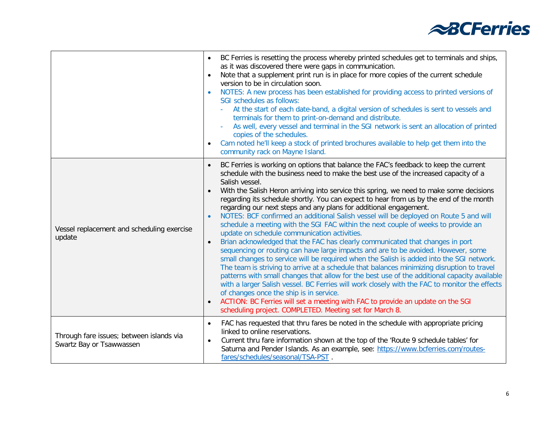

|                                                                      | BC Ferries is resetting the process whereby printed schedules get to terminals and ships,<br>as it was discovered there were gaps in communication.<br>Note that a supplement print run is in place for more copies of the current schedule<br>version to be in circulation soon.<br>NOTES: A new process has been established for providing access to printed versions of<br>SGI schedules as follows:<br>At the start of each date-band, a digital version of schedules is sent to vessels and<br>terminals for them to print-on-demand and distribute.<br>As well, every vessel and terminal in the SGI network is sent an allocation of printed<br>copies of the schedules.<br>Cam noted he'll keep a stock of printed brochures available to help get them into the<br>community rack on Mayne Island.                                                                                                                                                                                                                                                                                                                                                                                                                                                                                                                                                                                                                                                                                        |
|----------------------------------------------------------------------|----------------------------------------------------------------------------------------------------------------------------------------------------------------------------------------------------------------------------------------------------------------------------------------------------------------------------------------------------------------------------------------------------------------------------------------------------------------------------------------------------------------------------------------------------------------------------------------------------------------------------------------------------------------------------------------------------------------------------------------------------------------------------------------------------------------------------------------------------------------------------------------------------------------------------------------------------------------------------------------------------------------------------------------------------------------------------------------------------------------------------------------------------------------------------------------------------------------------------------------------------------------------------------------------------------------------------------------------------------------------------------------------------------------------------------------------------------------------------------------------------|
| Vessel replacement and scheduling exercise<br>update                 | BC Ferries is working on options that balance the FAC's feedback to keep the current<br>$\bullet$<br>schedule with the business need to make the best use of the increased capacity of a<br>Salish vessel.<br>With the Salish Heron arriving into service this spring, we need to make some decisions<br>$\bullet$<br>regarding its schedule shortly. You can expect to hear from us by the end of the month<br>regarding our next steps and any plans for additional engagement.<br>NOTES: BCF confirmed an additional Salish vessel will be deployed on Route 5 and will<br>$\bullet$<br>schedule a meeting with the SGI FAC within the next couple of weeks to provide an<br>update on schedule communication activities.<br>Brian acknowledged that the FAC has clearly communicated that changes in port<br>$\bullet$<br>sequencing or routing can have large impacts and are to be avoided. However, some<br>small changes to service will be required when the Salish is added into the SGI network.<br>The team is striving to arrive at a schedule that balances minimizing disruption to travel<br>patterns with small changes that allow for the best use of the additional capacity available<br>with a larger Salish vessel. BC Ferries will work closely with the FAC to monitor the effects<br>of changes once the ship is in service.<br>ACTION: BC Ferries will set a meeting with FAC to provide an update on the SGI<br>scheduling project. COMPLETED. Meeting set for March 8. |
| Through fare issues; between islands via<br>Swartz Bay or Tsawwassen | FAC has requested that thru fares be noted in the schedule with appropriate pricing<br>$\bullet$<br>linked to online reservations.<br>Current thru fare information shown at the top of the 'Route 9 schedule tables' for<br>$\bullet$<br>Saturna and Pender Islands. As an example, see: https://www.bcferries.com/routes-<br>fares/schedules/seasonal/TSA-PST.                                                                                                                                                                                                                                                                                                                                                                                                                                                                                                                                                                                                                                                                                                                                                                                                                                                                                                                                                                                                                                                                                                                                   |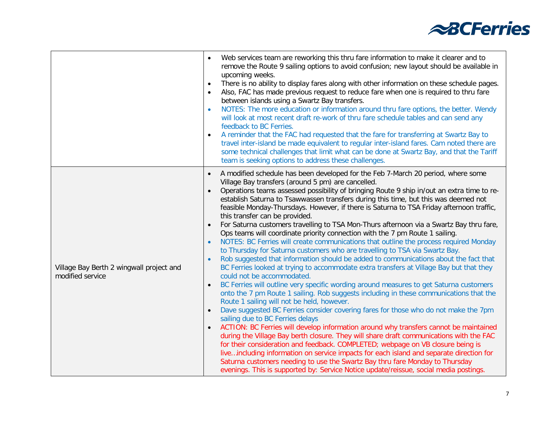

|                                                              | Web services team are reworking this thru fare information to make it clearer and to<br>$\bullet$<br>remove the Route 9 sailing options to avoid confusion; new layout should be available in<br>upcoming weeks.<br>There is no ability to display fares along with other information on these schedule pages.<br>$\bullet$<br>Also, FAC has made previous request to reduce fare when one is required to thru fare<br>$\bullet$<br>between islands using a Swartz Bay transfers.<br>NOTES: The more education or information around thru fare options, the better. Wendy<br>$\bullet$<br>will look at most recent draft re-work of thru fare schedule tables and can send any<br>feedback to BC Ferries.<br>A reminder that the FAC had requested that the fare for transferring at Swartz Bay to<br>$\bullet$<br>travel inter-island be made equivalent to regular inter-island fares. Cam noted there are<br>some technical challenges that limit what can be done at Swartz Bay, and that the Tariff<br>team is seeking options to address these challenges.                                                                                                                                                                                                                                                                                                                                                                                                                                                                                                                                                                                                                                                                                                                                                                                                                                                                                                                          |
|--------------------------------------------------------------|-------------------------------------------------------------------------------------------------------------------------------------------------------------------------------------------------------------------------------------------------------------------------------------------------------------------------------------------------------------------------------------------------------------------------------------------------------------------------------------------------------------------------------------------------------------------------------------------------------------------------------------------------------------------------------------------------------------------------------------------------------------------------------------------------------------------------------------------------------------------------------------------------------------------------------------------------------------------------------------------------------------------------------------------------------------------------------------------------------------------------------------------------------------------------------------------------------------------------------------------------------------------------------------------------------------------------------------------------------------------------------------------------------------------------------------------------------------------------------------------------------------------------------------------------------------------------------------------------------------------------------------------------------------------------------------------------------------------------------------------------------------------------------------------------------------------------------------------------------------------------------------------------------------------------------------------------------------------------------------------|
| Village Bay Berth 2 wingwall project and<br>modified service | A modified schedule has been developed for the Feb 7-March 20 period, where some<br>Village Bay transfers (around 5 pm) are cancelled.<br>Operations teams assessed possibility of bringing Route 9 ship in/out an extra time to re-<br>establish Saturna to Tsawwassen transfers during this time, but this was deemed not<br>feasible Monday-Thursdays. However, if there is Saturna to TSA Friday afternoon traffic,<br>this transfer can be provided.<br>For Saturna customers travelling to TSA Mon-Thurs afternoon via a Swartz Bay thru fare,<br>Ops teams will coordinate priority connection with the 7 pm Route 1 sailing.<br>NOTES: BC Ferries will create communications that outline the process required Monday<br>to Thursday for Saturna customers who are travelling to TSA via Swartz Bay.<br>Rob suggested that information should be added to communications about the fact that<br>$\bullet$<br>BC Ferries looked at trying to accommodate extra transfers at Village Bay but that they<br>could not be accommodated.<br>BC Ferries will outline very specific wording around measures to get Saturna customers<br>$\bullet$<br>onto the 7 pm Route 1 sailing. Rob suggests including in these communications that the<br>Route 1 sailing will not be held, however.<br>Dave suggested BC Ferries consider covering fares for those who do not make the 7pm<br>$\bullet$<br>sailing due to BC Ferries delays<br>ACTION: BC Ferries will develop information around why transfers cannot be maintained<br>$\bullet$<br>during the Village Bay berth closure. They will share draft communications with the FAC<br>for their consideration and feedback. COMPLETED; webpage on VB closure being is<br>liveincluding information on service impacts for each island and separate direction for<br>Saturna customers needing to use the Swartz Bay thru fare Monday to Thursday<br>evenings. This is supported by: Service Notice update/reissue, social media postings. |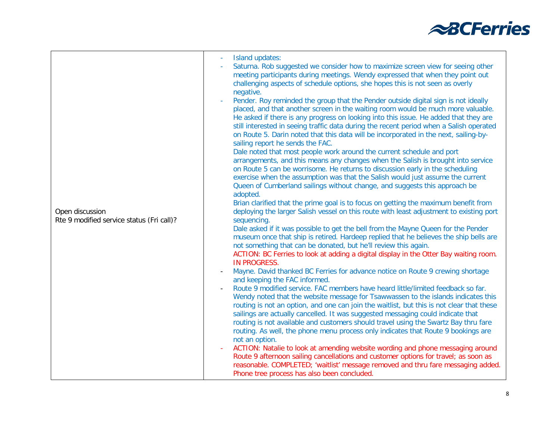

| Open discussion<br>Rte 9 modified service status (Fri call)? | Island updates:<br>Saturna. Rob suggested we consider how to maximize screen view for seeing other<br>meeting participants during meetings. Wendy expressed that when they point out<br>challenging aspects of schedule options, she hopes this is not seen as overly<br>negative.<br>Pender. Roy reminded the group that the Pender outside digital sign is not ideally<br>placed, and that another screen in the waiting room would be much more valuable.<br>He asked if there is any progress on looking into this issue. He added that they are<br>still interested in seeing traffic data during the recent period when a Salish operated<br>on Route 5. Darin noted that this data will be incorporated in the next, sailing-by-<br>sailing report he sends the FAC.<br>Dale noted that most people work around the current schedule and port<br>arrangements, and this means any changes when the Salish is brought into service<br>on Route 5 can be worrisome. He returns to discussion early in the scheduling<br>exercise when the assumption was that the Salish would just assume the current<br>Queen of Cumberland sailings without change, and suggests this approach be<br>adopted.<br>Brian clarified that the prime goal is to focus on getting the maximum benefit from<br>deploying the larger Salish vessel on this route with least adjustment to existing port<br>sequencing.<br>Dale asked if it was possible to get the bell from the Mayne Queen for the Pender<br>museum once that ship is retired. Hardeep replied that he believes the ship bells are<br>not something that can be donated, but he'll review this again.<br>ACTION: BC Ferries to look at adding a digital display in the Otter Bay waiting room.<br>IN PROGRESS.<br>Mayne. David thanked BC Ferries for advance notice on Route 9 crewing shortage<br>and keeping the FAC informed.<br>Route 9 modified service. FAC members have heard little/limited feedback so far.<br>Wendy noted that the website message for Tsawwassen to the islands indicates this<br>routing is not an option, and one can join the waitlist, but this is not clear that these<br>sailings are actually cancelled. It was suggested messaging could indicate that<br>routing is not available and customers should travel using the Swartz Bay thru fare<br>routing. As well, the phone menu process only indicates that Route 9 bookings are<br>not an option. |
|--------------------------------------------------------------|--------------------------------------------------------------------------------------------------------------------------------------------------------------------------------------------------------------------------------------------------------------------------------------------------------------------------------------------------------------------------------------------------------------------------------------------------------------------------------------------------------------------------------------------------------------------------------------------------------------------------------------------------------------------------------------------------------------------------------------------------------------------------------------------------------------------------------------------------------------------------------------------------------------------------------------------------------------------------------------------------------------------------------------------------------------------------------------------------------------------------------------------------------------------------------------------------------------------------------------------------------------------------------------------------------------------------------------------------------------------------------------------------------------------------------------------------------------------------------------------------------------------------------------------------------------------------------------------------------------------------------------------------------------------------------------------------------------------------------------------------------------------------------------------------------------------------------------------------------------------------------------------------------------------------------------------------------------------------------------------------------------------------------------------------------------------------------------------------------------------------------------------------------------------------------------------------------------------------------------------------------------------------------------------------------------------------------------------------------------------------------------------------------------------------------------------|
|                                                              | ACTION: Natalie to look at amending website wording and phone messaging around<br>Route 9 afternoon sailing cancellations and customer options for travel; as soon as<br>reasonable. COMPLETED; 'waitlist' message removed and thru fare messaging added.<br>Phone tree process has also been concluded.                                                                                                                                                                                                                                                                                                                                                                                                                                                                                                                                                                                                                                                                                                                                                                                                                                                                                                                                                                                                                                                                                                                                                                                                                                                                                                                                                                                                                                                                                                                                                                                                                                                                                                                                                                                                                                                                                                                                                                                                                                                                                                                                   |